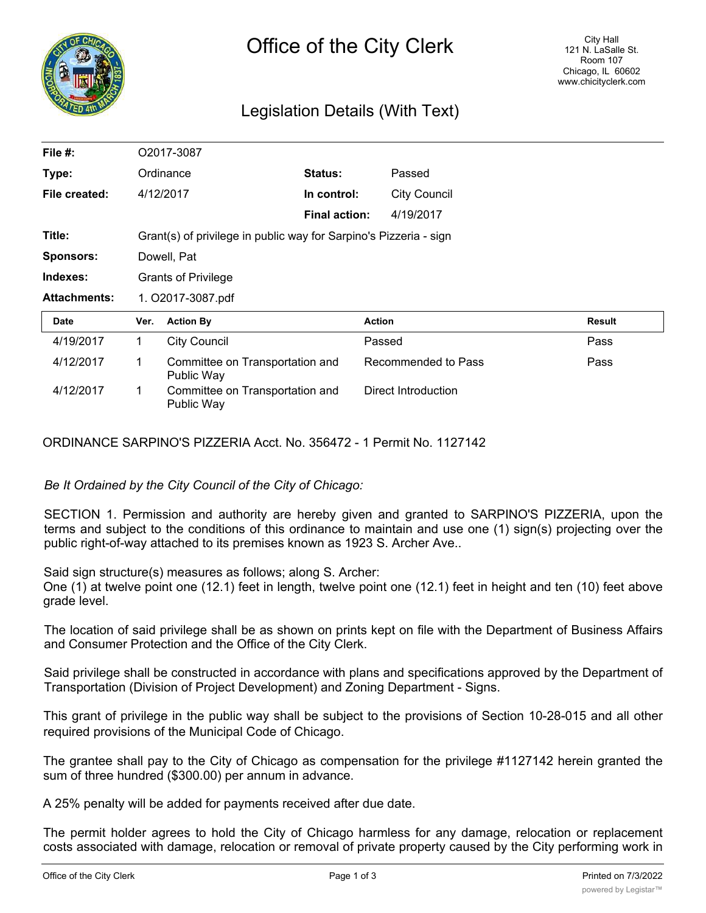

## Legislation Details (With Text)

| File #:             |                                                                   | O2017-3087                                    |                      |                     |               |
|---------------------|-------------------------------------------------------------------|-----------------------------------------------|----------------------|---------------------|---------------|
| Type:               |                                                                   | Ordinance                                     | Status:              | Passed              |               |
| File created:       |                                                                   | 4/12/2017                                     | In control:          | <b>City Council</b> |               |
|                     |                                                                   |                                               | <b>Final action:</b> | 4/19/2017           |               |
| Title:              | Grant(s) of privilege in public way for Sarpino's Pizzeria - sign |                                               |                      |                     |               |
| <b>Sponsors:</b>    |                                                                   | Dowell, Pat                                   |                      |                     |               |
|                     |                                                                   |                                               |                      |                     |               |
| Indexes:            |                                                                   | <b>Grants of Privilege</b>                    |                      |                     |               |
| <b>Attachments:</b> |                                                                   | 1. O2017-3087.pdf                             |                      |                     |               |
| <b>Date</b>         | Ver.                                                              | <b>Action By</b>                              |                      | <b>Action</b>       | <b>Result</b> |
| 4/19/2017           | 1.                                                                | <b>City Council</b>                           |                      | Passed              | Pass          |
| 4/12/2017           | 1                                                                 | Committee on Transportation and<br>Public Way |                      | Recommended to Pass | Pass          |

ORDINANCE SARPINO'S PIZZERIA Acct. No. 356472 - 1 Permit No. 1127142

*Be It Ordained by the City Council of the City of Chicago:*

SECTION 1. Permission and authority are hereby given and granted to SARPINO'S PIZZERIA, upon the terms and subject to the conditions of this ordinance to maintain and use one (1) sign(s) projecting over the public right-of-way attached to its premises known as 1923 S. Archer Ave..

Said sign structure(s) measures as follows; along S. Archer:

One (1) at twelve point one (12.1) feet in length, twelve point one (12.1) feet in height and ten (10) feet above grade level.

The location of said privilege shall be as shown on prints kept on file with the Department of Business Affairs and Consumer Protection and the Office of the City Clerk.

Said privilege shall be constructed in accordance with plans and specifications approved by the Department of Transportation (Division of Project Development) and Zoning Department - Signs.

This grant of privilege in the public way shall be subject to the provisions of Section 10-28-015 and all other required provisions of the Municipal Code of Chicago.

The grantee shall pay to the City of Chicago as compensation for the privilege #1127142 herein granted the sum of three hundred (\$300.00) per annum in advance.

A 25% penalty will be added for payments received after due date.

The permit holder agrees to hold the City of Chicago harmless for any damage, relocation or replacement costs associated with damage, relocation or removal of private property caused by the City performing work in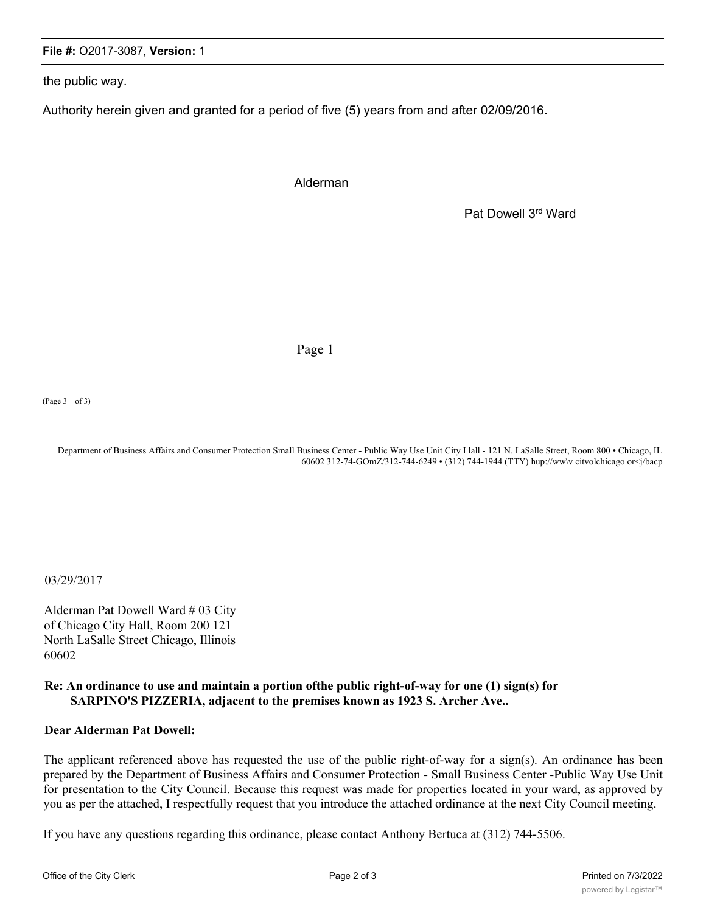## **File #:** O2017-3087, **Version:** 1

the public way.

Authority herein given and granted for a period of five (5) years from and after 02/09/2016.

Alderman

Pat Dowell 3rd Ward

Page 1

(Page 3 of 3)

Department of Business Affairs and Consumer Protection Small Business Center - Public Way Use Unit City I lall - 121 N. LaSalle Street, Room 800 • Chicago, IL 60602 312-74-GOmZ/312-744-6249 • (312) 744-1944 (TTY) hup://ww\v citvolchicago or<j/bacp

03/29/2017

Alderman Pat Dowell Ward # 03 City of Chicago City Hall, Room 200 121 North LaSalle Street Chicago, Illinois 60602

## **Re: An ordinance to use and maintain a portion ofthe public right-of-way for one (1) sign(s) for SARPINO'S PIZZERIA, adjacent to the premises known as 1923 S. Archer Ave..**

## **Dear Alderman Pat Dowell:**

The applicant referenced above has requested the use of the public right-of-way for a sign(s). An ordinance has been prepared by the Department of Business Affairs and Consumer Protection - Small Business Center -Public Way Use Unit for presentation to the City Council. Because this request was made for properties located in your ward, as approved by you as per the attached, I respectfully request that you introduce the attached ordinance at the next City Council meeting.

If you have any questions regarding this ordinance, please contact Anthony Bertuca at (312) 744-5506.